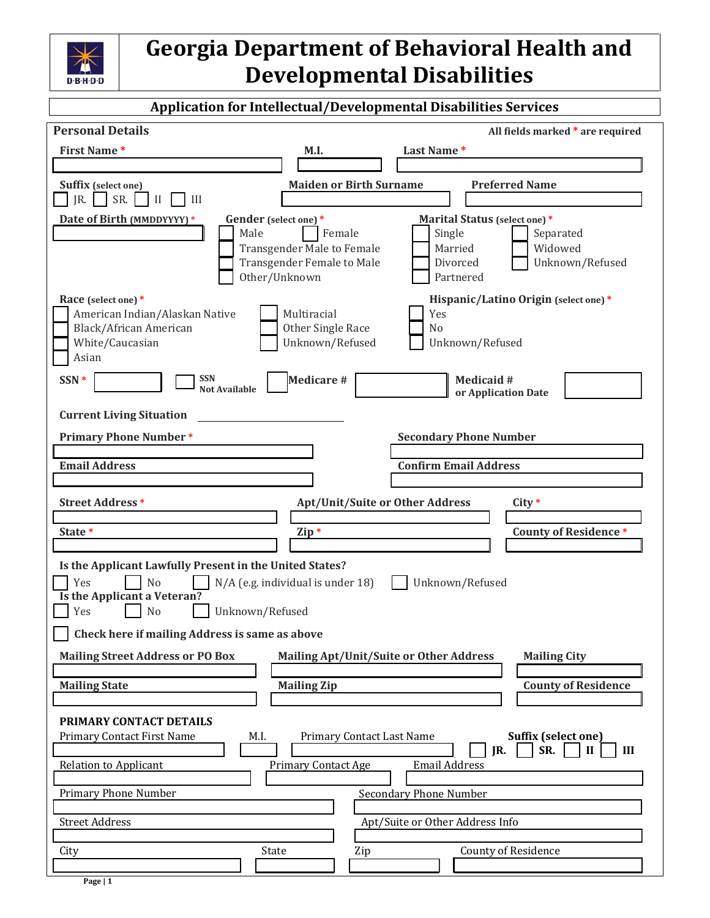

|                                                                      | <b>Application for Intellectual/Developmental Disabilities Services</b>                                              |
|----------------------------------------------------------------------|----------------------------------------------------------------------------------------------------------------------|
| <b>Personal Details</b>                                              | All fields marked * are required                                                                                     |
| <b>First Name*</b>                                                   | Last Name*<br>M.I.                                                                                                   |
|                                                                      |                                                                                                                      |
| <b>Suffix</b> (select one)<br>SR.<br>JR.<br>$\mathbf{I}$<br>III      | <b>Maiden or Birth Surname</b><br><b>Preferred Name</b>                                                              |
| Gender (select one)*<br>Date of Birth (MMDDYYYY) *                   | Marital Status (select one)*                                                                                         |
| Male                                                                 | Female<br>Single<br>Separated                                                                                        |
|                                                                      | Transgender Male to Female<br>Married<br>Widowed<br><b>Transgender Female to Male</b><br>Divorced<br>Unknown/Refused |
| Other/Unknown                                                        | Partnered                                                                                                            |
| Race (select one)*                                                   | Hispanic/Latino Origin (select one)*                                                                                 |
| American Indian/Alaskan Native                                       | Multiracial<br>Yes                                                                                                   |
| Black/African American<br>White/Caucasian                            | Other Single Race<br>N <sub>o</sub><br>Unknown/Refused<br>Unknown/Refused                                            |
| Asian                                                                |                                                                                                                      |
| <b>SSN</b><br>SSN *<br><b>Not Available</b>                          | Medicare #<br><b>Medicaid#</b>                                                                                       |
|                                                                      | or Application Date                                                                                                  |
| <b>Current Living Situation</b>                                      |                                                                                                                      |
| <b>Primary Phone Number*</b>                                         | <b>Secondary Phone Number</b>                                                                                        |
| <b>Email Address</b>                                                 | <b>Confirm Email Address</b>                                                                                         |
|                                                                      |                                                                                                                      |
| <b>Street Address*</b>                                               | <b>Apt/Unit/Suite or Other Address</b><br>$City*$                                                                    |
| State *                                                              | <b>County of Residence *</b><br>Zip *                                                                                |
|                                                                      |                                                                                                                      |
| Is the Applicant Lawfully Present in the United States?<br>No<br>Yes | N/A (e.g. individual is under 18)<br>Unknown/Refused                                                                 |
| Is the Applicant a Veteran?                                          |                                                                                                                      |
| Yes<br>No<br>Unknown/Refused                                         |                                                                                                                      |
| Check here if mailing Address is same as above                       |                                                                                                                      |
| <b>Mailing Street Address or PO Box</b>                              | <b>Mailing Apt/Unit/Suite or Other Address</b><br><b>Mailing City</b>                                                |
| <b>Mailing State</b>                                                 | <b>County of Residence</b><br><b>Mailing Zip</b>                                                                     |
|                                                                      |                                                                                                                      |
| PRIMARY CONTACT DETAILS                                              |                                                                                                                      |
| Primary Contact First Name<br>M.I.                                   | Suffix (select one)<br>Primary Contact Last Name<br>SR.<br>JR.<br>III<br>$\mathbf{I}$                                |
| <b>Relation to Applicant</b>                                         | <b>Email Address</b><br><b>Primary Contact Age</b>                                                                   |
| <b>Primary Phone Number</b>                                          | <b>Secondary Phone Number</b>                                                                                        |
|                                                                      |                                                                                                                      |
| <b>Street Address</b>                                                | Apt/Suite or Other Address Info                                                                                      |
| State<br>City                                                        | <b>County of Residence</b><br>Zip                                                                                    |
|                                                                      |                                                                                                                      |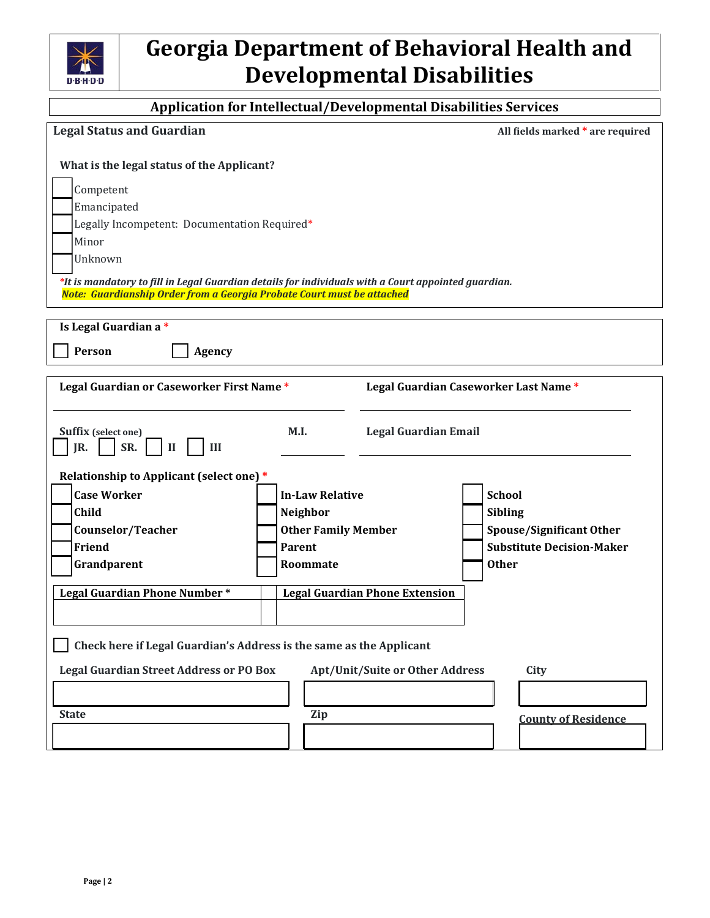

### **Application for Intellectual/Developmental Disabilities Services**

| <b>Legal Status and Guardian</b>                                                                                                                                                                                                                                                                                            |                                                                                  | All fields marked * are required                                        |  |
|-----------------------------------------------------------------------------------------------------------------------------------------------------------------------------------------------------------------------------------------------------------------------------------------------------------------------------|----------------------------------------------------------------------------------|-------------------------------------------------------------------------|--|
| What is the legal status of the Applicant?<br>Competent<br>Emancipated<br>Legally Incompetent: Documentation Required*<br>Minor<br>Unknown<br>*It is mandatory to fill in Legal Guardian details for individuals with a Court appointed guardian.<br>Note: Guardianship Order from a Georgia Probate Court must be attached |                                                                                  |                                                                         |  |
| Is Legal Guardian a*                                                                                                                                                                                                                                                                                                        |                                                                                  |                                                                         |  |
| Person<br><b>Agency</b>                                                                                                                                                                                                                                                                                                     |                                                                                  |                                                                         |  |
| Legal Guardian or Caseworker First Name*<br>Suffix (select one)<br>SR.<br>IR.<br>$\mathbf{I}$<br>III<br>Relationship to Applicant (select one) *<br><b>Case Worker</b><br><b>Child</b>                                                                                                                                      | <b>Legal Guardian Email</b><br>M.I.<br><b>In-Law Relative</b><br><b>Neighbor</b> | Legal Guardian Caseworker Last Name*<br><b>School</b><br><b>Sibling</b> |  |
| Counselor/Teacher                                                                                                                                                                                                                                                                                                           | <b>Other Family Member</b>                                                       | <b>Spouse/Significant Other</b>                                         |  |
| Friend                                                                                                                                                                                                                                                                                                                      | <b>Parent</b>                                                                    | <b>Substitute Decision-Maker</b>                                        |  |
| Grandparent                                                                                                                                                                                                                                                                                                                 | Roommate                                                                         | <b>Other</b>                                                            |  |
| Legal Guardian Phone Number*<br><b>Legal Guardian Phone Extension</b><br>Check here if Legal Guardian's Address is the same as the Applicant                                                                                                                                                                                |                                                                                  |                                                                         |  |
| <b>Legal Guardian Street Address or PO Box</b><br><b>Apt/Unit/Suite or Other Address</b><br>City                                                                                                                                                                                                                            |                                                                                  |                                                                         |  |
|                                                                                                                                                                                                                                                                                                                             |                                                                                  |                                                                         |  |
| <b>State</b>                                                                                                                                                                                                                                                                                                                | Zip                                                                              | <b>County of Residence</b>                                              |  |
|                                                                                                                                                                                                                                                                                                                             |                                                                                  |                                                                         |  |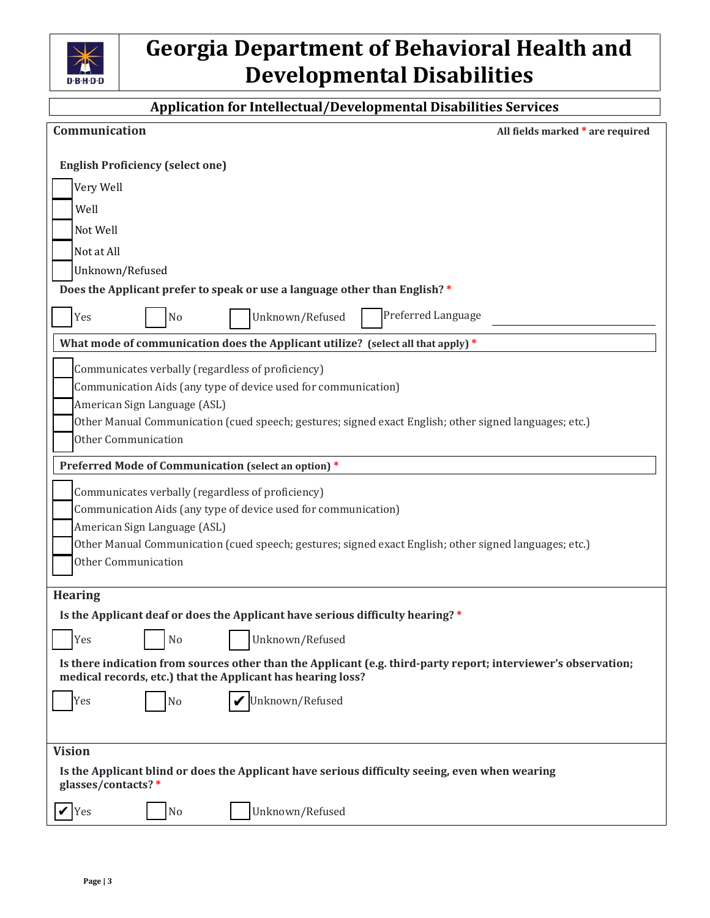

### **Application for Intellectual/Developmental Disabilities Services**

| Communication                                                                                                                                                                                                                                                                               | All fields marked * are required |
|---------------------------------------------------------------------------------------------------------------------------------------------------------------------------------------------------------------------------------------------------------------------------------------------|----------------------------------|
| <b>English Proficiency (select one)</b>                                                                                                                                                                                                                                                     |                                  |
| Very Well                                                                                                                                                                                                                                                                                   |                                  |
| Well                                                                                                                                                                                                                                                                                        |                                  |
| Not Well                                                                                                                                                                                                                                                                                    |                                  |
| Not at All                                                                                                                                                                                                                                                                                  |                                  |
| Unknown/Refused                                                                                                                                                                                                                                                                             |                                  |
| Does the Applicant prefer to speak or use a language other than English?*                                                                                                                                                                                                                   |                                  |
| Unknown/Refused<br>Yes<br>No                                                                                                                                                                                                                                                                | Preferred Language               |
| What mode of communication does the Applicant utilize? (select all that apply) *                                                                                                                                                                                                            |                                  |
| Communicates verbally (regardless of proficiency)<br>Communication Aids (any type of device used for communication)<br>American Sign Language (ASL)<br>Other Manual Communication (cued speech; gestures; signed exact English; other signed languages; etc.)<br><b>Other Communication</b> |                                  |
| Preferred Mode of Communication (select an option) *                                                                                                                                                                                                                                        |                                  |
| Communicates verbally (regardless of proficiency)<br>Communication Aids (any type of device used for communication)<br>American Sign Language (ASL)<br>Other Manual Communication (cued speech; gestures; signed exact English; other signed languages; etc.)<br><b>Other Communication</b> |                                  |
| <b>Hearing</b>                                                                                                                                                                                                                                                                              |                                  |
| Is the Applicant deaf or does the Applicant have serious difficulty hearing? *                                                                                                                                                                                                              |                                  |
| Yes<br>N <sub>0</sub><br>Unknown/Refused                                                                                                                                                                                                                                                    |                                  |
| Is there indication from sources other than the Applicant (e.g. third-party report; interviewer's observation;<br>medical records, etc.) that the Applicant has hearing loss?                                                                                                               |                                  |
| Unknown/Refused<br>Yes<br>N <sub>o</sub>                                                                                                                                                                                                                                                    |                                  |
|                                                                                                                                                                                                                                                                                             |                                  |
| <b>Vision</b>                                                                                                                                                                                                                                                                               |                                  |
| Is the Applicant blind or does the Applicant have serious difficulty seeing, even when wearing<br>glasses/contacts?*                                                                                                                                                                        |                                  |
| Unknown/Refused<br>Yes<br>N <sub>0</sub>                                                                                                                                                                                                                                                    |                                  |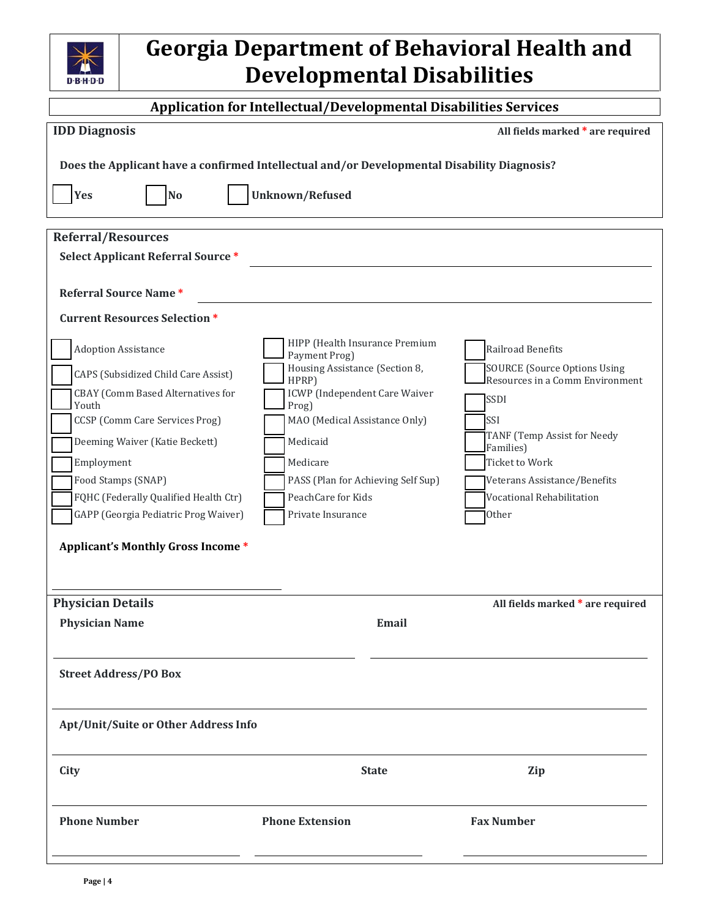

### **Application for Intellectual/Developmental Disabilities Services**

| <b>IDD Diagnosis</b>                                                                        |                                                 | All fields marked * are required        |
|---------------------------------------------------------------------------------------------|-------------------------------------------------|-----------------------------------------|
| Does the Applicant have a confirmed Intellectual and/or Developmental Disability Diagnosis? |                                                 |                                         |
|                                                                                             |                                                 |                                         |
| Yes<br>No                                                                                   | <b>Unknown/Refused</b>                          |                                         |
| <b>Referral/Resources</b>                                                                   |                                                 |                                         |
| <b>Select Applicant Referral Source *</b>                                                   |                                                 |                                         |
|                                                                                             |                                                 |                                         |
| <b>Referral Source Name*</b>                                                                |                                                 |                                         |
| <b>Current Resources Selection *</b>                                                        |                                                 |                                         |
| <b>Adoption Assistance</b>                                                                  | HIPP (Health Insurance Premium<br>Payment Prog) | Railroad Benefits                       |
| CAPS (Subsidized Child Care Assist)                                                         | Housing Assistance (Section 8,                  | <b>SOURCE (Source Options Using</b>     |
| CBAY (Comm Based Alternatives for                                                           | HPRP)<br>ICWP (Independent Care Waiver          | Resources in a Comm Environment<br>SSDI |
| Youth<br>CCSP (Comm Care Services Prog)                                                     | Prog)<br>MAO (Medical Assistance Only)          | SSI                                     |
| Deeming Waiver (Katie Beckett)                                                              | Medicaid                                        | TANF (Temp Assist for Needy             |
| Employment                                                                                  | Medicare                                        | Families)<br><b>Ticket to Work</b>      |
| Food Stamps (SNAP)                                                                          | PASS (Plan for Achieving Self Sup)              | Veterans Assistance/Benefits            |
| FQHC (Federally Qualified Health Ctr)                                                       | PeachCare for Kids                              | Vocational Rehabilitation               |
| GAPP (Georgia Pediatric Prog Waiver)                                                        | Private Insurance                               | <b>Other</b>                            |
|                                                                                             |                                                 |                                         |
| <b>Applicant's Monthly Gross Income *</b>                                                   |                                                 |                                         |
|                                                                                             |                                                 |                                         |
| <b>Physician Details</b>                                                                    |                                                 | All fields marked * are required        |
| <b>Physician Name</b>                                                                       | Email                                           |                                         |
|                                                                                             |                                                 |                                         |
| <b>Street Address/PO Box</b>                                                                |                                                 |                                         |
|                                                                                             |                                                 |                                         |
|                                                                                             |                                                 |                                         |
| Apt/Unit/Suite or Other Address Info                                                        |                                                 |                                         |
|                                                                                             |                                                 |                                         |
| City                                                                                        | <b>State</b>                                    | Zip                                     |
|                                                                                             |                                                 |                                         |
| <b>Phone Number</b>                                                                         | <b>Phone Extension</b>                          | <b>Fax Number</b>                       |
|                                                                                             |                                                 |                                         |
|                                                                                             |                                                 |                                         |